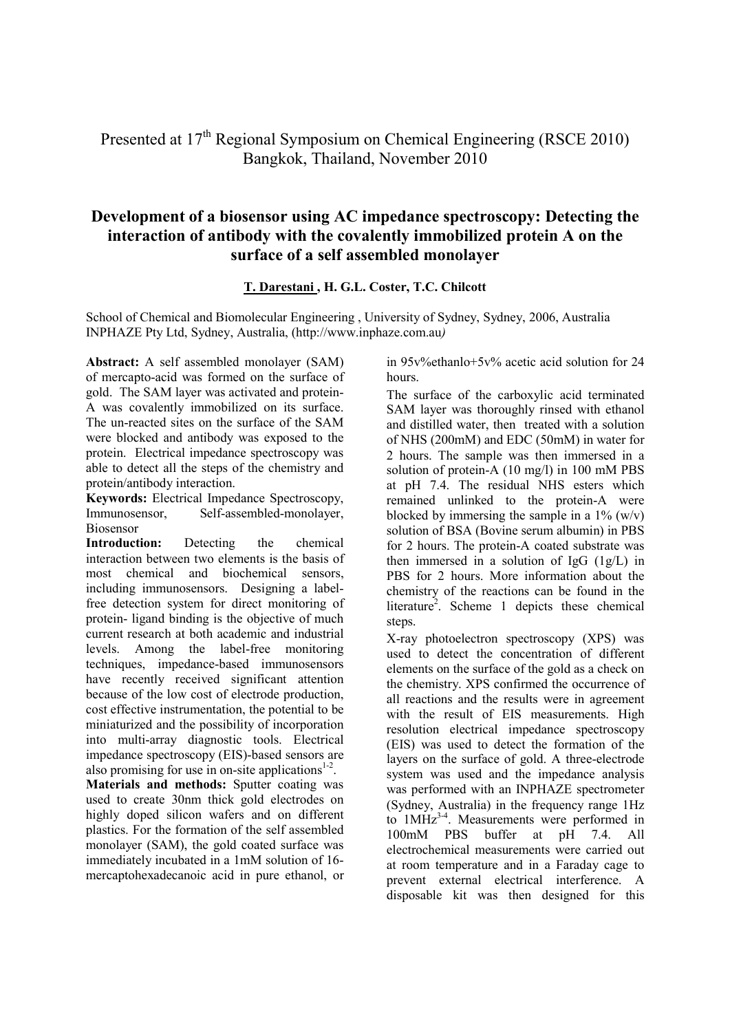Presented at 17<sup>th</sup> Regional Symposium on Chemical Engineering (RSCE 2010) Bangkok, Thailand, November 2010

## **Development of a biosensor using AC impedance spectroscopy: Detecting the interaction of antibody with the covalently immobilized protein A on the surface of a self assembled monolayer**

## **T. Darestani , H. G.L. Coster, T.C. Chilcott**

School of Chemical and Biomolecular Engineering , University of Sydney, Sydney, 2006, Australia INPHAZE Pty Ltd, Sydney, Australia, (http://www.inphaze.com.au*)* 

**Abstract:** A self assembled monolayer (SAM) of mercapto-acid was formed on the surface of gold. The SAM layer was activated and protein-A was covalently immobilized on its surface. The un-reacted sites on the surface of the SAM were blocked and antibody was exposed to the protein. Electrical impedance spectroscopy was able to detect all the steps of the chemistry and protein/antibody interaction.

**Keywords:** Electrical Impedance Spectroscopy, Immunosensor, Self-assembled-monolayer, Biosensor

**Introduction:** Detecting the chemical interaction between two elements is the basis of most chemical and biochemical sensors, including immunosensors. Designing a labelfree detection system for direct monitoring of protein- ligand binding is the objective of much current research at both academic and industrial levels. Among the label-free monitoring techniques, impedance-based immunosensors have recently received significant attention because of the low cost of electrode production, cost effective instrumentation, the potential to be miniaturized and the possibility of incorporation into multi-array diagnostic tools. Electrical impedance spectroscopy (EIS)-based sensors are also promising for use in on-site applications $1<sup>2</sup>$ .

**Materials and methods:** Sputter coating was used to create 30nm thick gold electrodes on highly doped silicon wafers and on different plastics. For the formation of the self assembled monolayer (SAM), the gold coated surface was immediately incubated in a 1mM solution of 16 mercaptohexadecanoic acid in pure ethanol, or

in 95v%ethanlo+5v% acetic acid solution for 24 hours.

The surface of the carboxylic acid terminated SAM layer was thoroughly rinsed with ethanol and distilled water, then treated with a solution of NHS (200mM) and EDC (50mM) in water for 2 hours. The sample was then immersed in a solution of protein-A (10 mg/l) in 100 mM PBS at pH 7.4. The residual NHS esters which remained unlinked to the protein-A were blocked by immersing the sample in a  $1\%$  (w/v) solution of BSA (Bovine serum albumin) in PBS for 2 hours. The protein-A coated substrate was then immersed in a solution of  $IgG (1g/L)$  in PBS for 2 hours. More information about the chemistry of the reactions can be found in the literature<sup>2</sup>. Scheme 1 depicts these chemical steps.

X-ray photoelectron spectroscopy (XPS) was used to detect the concentration of different elements on the surface of the gold as a check on the chemistry. XPS confirmed the occurrence of all reactions and the results were in agreement with the result of EIS measurements. High resolution electrical impedance spectroscopy (EIS) was used to detect the formation of the layers on the surface of gold. A three-electrode system was used and the impedance analysis was performed with an INPHAZE spectrometer (Sydney, Australia) in the frequency range 1Hz to  $1MHz^{34}$ . Measurements were performed in  $100 \text{m}$  PBS buffer at  $vH = 7.4$ . All 100mM PBS buffer at pH 7.4. All electrochemical measurements were carried out at room temperature and in a Faraday cage to prevent external electrical interference. A disposable kit was then designed for this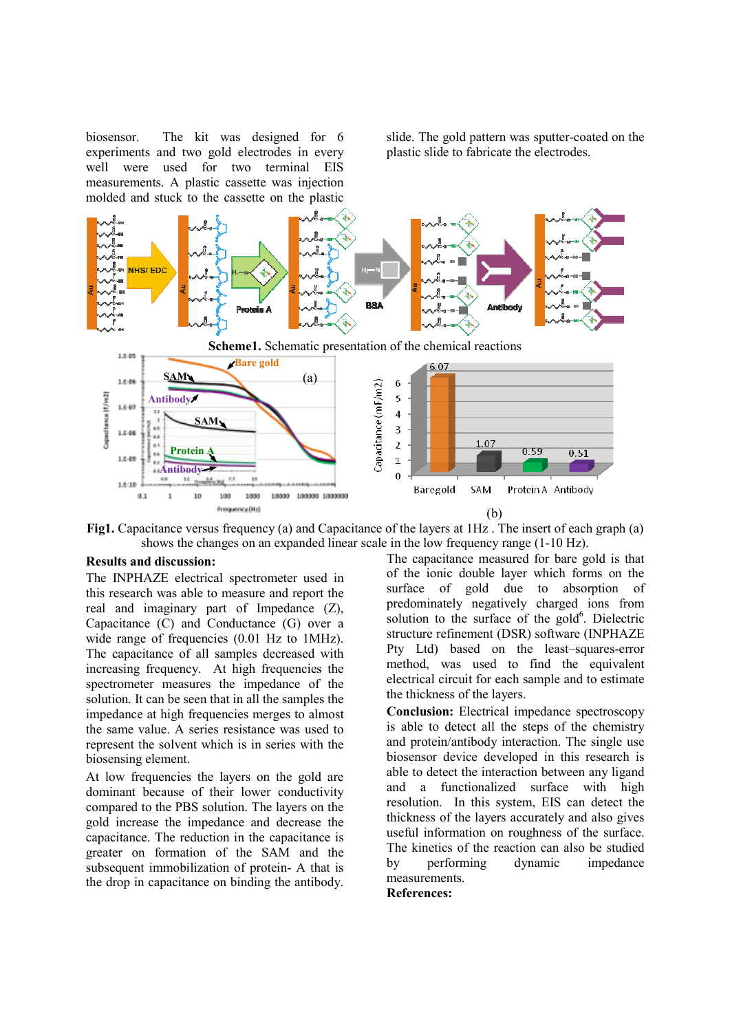biosensor. The kit was designed for 6 experiments and two gold electrodes in every well were used for two terminal EIS measurements. A plastic cassette was injection molded and stuck to the cassette on the plastic slide. The gold pattern was sputter-coated on the plastic slide to fabricate the electrodes.



**Fig1.** Capacitance versus frequency (a) and Capacitance of the layers at 1Hz . The insert of each graph (a) shows the changes on an expanded linear scale in the low frequency range (1-10 Hz).

## **Results and discussion:**

The INPHAZE electrical spectrometer used in this research was able to measure and report the real and imaginary part of Impedance (Z), Capacitance (C) and Conductance (G) over a wide range of frequencies  $(0.01 \text{ Hz to } 1 \text{MHz}).$ The capacitance of all samples decreased with increasing frequency. At high frequencies the spectrometer measures the impedance of the solution. It can be seen that in all the samples the impedance at high frequencies merges to almost the same value. A series resistance was used to represent the solvent which is in series with the biosensing element.

At low frequencies the layers on the gold are dominant because of their lower conductivity compared to the PBS solution. The layers on the gold increase the impedance and decrease the capacitance. The reduction in the capacitance is greater on formation of the SAM and the subsequent immobilization of protein- A that is the drop in capacitance on binding the antibody.

The capacitance measured for bare gold is that of the ionic double layer which forms on the surface of gold due to absorption of predominately negatively charged ions from solution to the surface of the gold $6$ . Dielectric structure refinement (DSR) software (INPHAZE Pty Ltd) based on the least–squares-error method, was used to find the equivalent electrical circuit for each sample and to estimate the thickness of the layers.

**Conclusion:** Electrical impedance spectroscopy is able to detect all the steps of the chemistry and protein/antibody interaction. The single use biosensor device developed in this research is able to detect the interaction between any ligand and a functionalized surface with high resolution. In this system, EIS can detect the thickness of the layers accurately and also gives useful information on roughness of the surface. The kinetics of the reaction can also be studied by performing dynamic impedance measurements.

**References:**